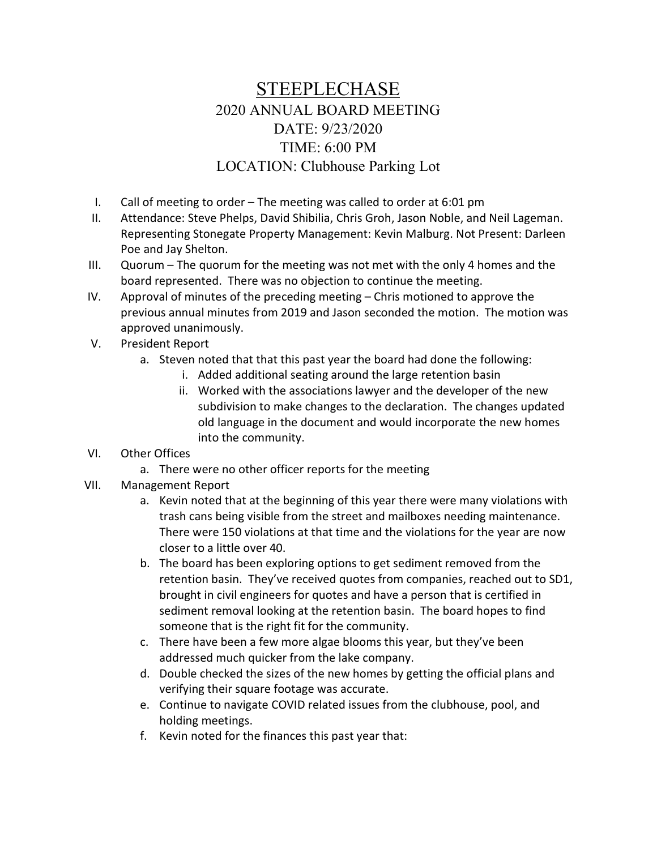## STEEPLECHASE 2020 ANNUAL BOARD MEETING DATE: 9/23/2020 TIME: 6:00 PM LOCATION: Clubhouse Parking Lot

- I. Call of meeting to order The meeting was called to order at 6:01 pm
- II. Attendance: Steve Phelps, David Shibilia, Chris Groh, Jason Noble, and Neil Lageman. Representing Stonegate Property Management: Kevin Malburg. Not Present: Darleen Poe and Jay Shelton.
- III. Quorum The quorum for the meeting was not met with the only 4 homes and the board represented. There was no objection to continue the meeting.
- IV. Approval of minutes of the preceding meeting Chris motioned to approve the previous annual minutes from 2019 and Jason seconded the motion. The motion was approved unanimously.
- V. President Report
	- a. Steven noted that that this past year the board had done the following:
		- i. Added additional seating around the large retention basin
		- ii. Worked with the associations lawyer and the developer of the new subdivision to make changes to the declaration. The changes updated old language in the document and would incorporate the new homes into the community.
- VI. Other Offices
	- a. There were no other officer reports for the meeting
- VII. Management Report
	- a. Kevin noted that at the beginning of this year there were many violations with trash cans being visible from the street and mailboxes needing maintenance. There were 150 violations at that time and the violations for the year are now closer to a little over 40.
	- b. The board has been exploring options to get sediment removed from the retention basin. They've received quotes from companies, reached out to SD1, brought in civil engineers for quotes and have a person that is certified in sediment removal looking at the retention basin. The board hopes to find someone that is the right fit for the community.
	- c. There have been a few more algae blooms this year, but they've been addressed much quicker from the lake company.
	- d. Double checked the sizes of the new homes by getting the official plans and verifying their square footage was accurate.
	- e. Continue to navigate COVID related issues from the clubhouse, pool, and holding meetings.
	- f. Kevin noted for the finances this past year that: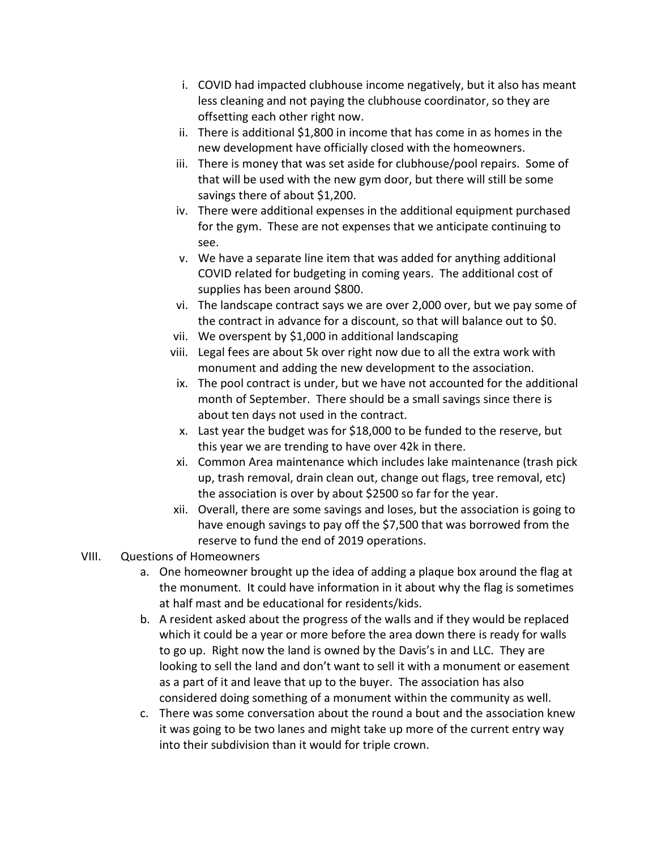- i. COVID had impacted clubhouse income negatively, but it also has meant less cleaning and not paying the clubhouse coordinator, so they are offsetting each other right now.
- ii. There is additional \$1,800 in income that has come in as homes in the new development have officially closed with the homeowners.
- iii. There is money that was set aside for clubhouse/pool repairs. Some of that will be used with the new gym door, but there will still be some savings there of about \$1,200.
- iv. There were additional expenses in the additional equipment purchased for the gym. These are not expenses that we anticipate continuing to see.
- v. We have a separate line item that was added for anything additional COVID related for budgeting in coming years. The additional cost of supplies has been around \$800.
- vi. The landscape contract says we are over 2,000 over, but we pay some of the contract in advance for a discount, so that will balance out to \$0.
- vii. We overspent by \$1,000 in additional landscaping
- viii. Legal fees are about 5k over right now due to all the extra work with monument and adding the new development to the association.
- ix. The pool contract is under, but we have not accounted for the additional month of September. There should be a small savings since there is about ten days not used in the contract.
- x. Last year the budget was for \$18,000 to be funded to the reserve, but this year we are trending to have over 42k in there.
- xi. Common Area maintenance which includes lake maintenance (trash pick up, trash removal, drain clean out, change out flags, tree removal, etc) the association is over by about \$2500 so far for the year.
- xii. Overall, there are some savings and loses, but the association is going to have enough savings to pay off the \$7,500 that was borrowed from the reserve to fund the end of 2019 operations.
- VIII. Questions of Homeowners
	- a. One homeowner brought up the idea of adding a plaque box around the flag at the monument. It could have information in it about why the flag is sometimes at half mast and be educational for residents/kids.
	- b. A resident asked about the progress of the walls and if they would be replaced which it could be a year or more before the area down there is ready for walls to go up. Right now the land is owned by the Davis's in and LLC. They are looking to sell the land and don't want to sell it with a monument or easement as a part of it and leave that up to the buyer. The association has also considered doing something of a monument within the community as well.
	- c. There was some conversation about the round a bout and the association knew it was going to be two lanes and might take up more of the current entry way into their subdivision than it would for triple crown.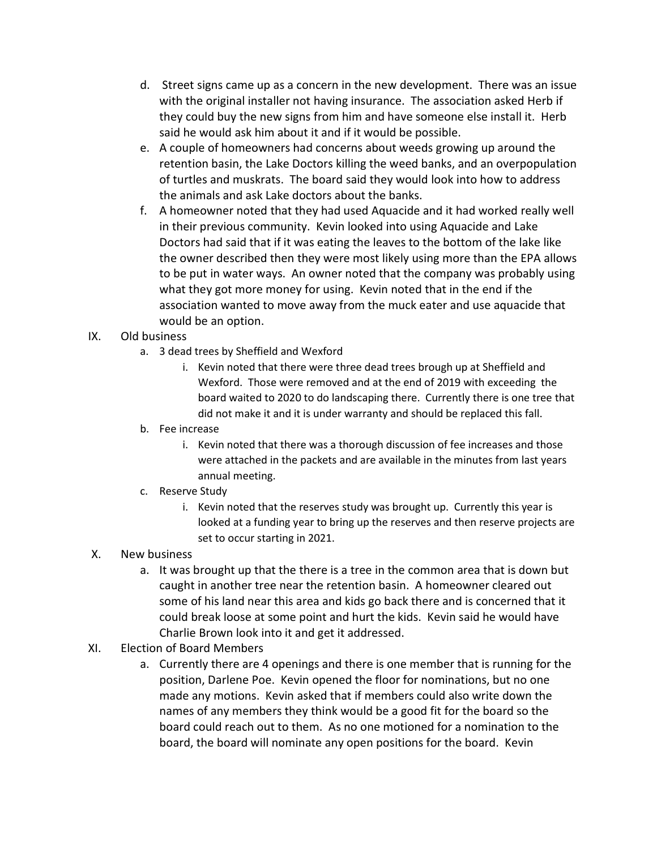- d. Street signs came up as a concern in the new development. There was an issue with the original installer not having insurance. The association asked Herb if they could buy the new signs from him and have someone else install it. Herb said he would ask him about it and if it would be possible.
- e. A couple of homeowners had concerns about weeds growing up around the retention basin, the Lake Doctors killing the weed banks, and an overpopulation of turtles and muskrats. The board said they would look into how to address the animals and ask Lake doctors about the banks.
- f. A homeowner noted that they had used Aquacide and it had worked really well in their previous community. Kevin looked into using Aquacide and Lake Doctors had said that if it was eating the leaves to the bottom of the lake like the owner described then they were most likely using more than the EPA allows to be put in water ways. An owner noted that the company was probably using what they got more money for using. Kevin noted that in the end if the association wanted to move away from the muck eater and use aquacide that would be an option.

## IX. Old business

- a. 3 dead trees by Sheffield and Wexford
	- i. Kevin noted that there were three dead trees brough up at Sheffield and Wexford. Those were removed and at the end of 2019 with exceeding the board waited to 2020 to do landscaping there. Currently there is one tree that did not make it and it is under warranty and should be replaced this fall.
- b. Fee increase
	- i. Kevin noted that there was a thorough discussion of fee increases and those were attached in the packets and are available in the minutes from last years annual meeting.
- c. Reserve Study
	- i. Kevin noted that the reserves study was brought up. Currently this year is looked at a funding year to bring up the reserves and then reserve projects are set to occur starting in 2021.
- X. New business
	- a. It was brought up that the there is a tree in the common area that is down but caught in another tree near the retention basin. A homeowner cleared out some of his land near this area and kids go back there and is concerned that it could break loose at some point and hurt the kids. Kevin said he would have Charlie Brown look into it and get it addressed.
- XI. Election of Board Members
	- a. Currently there are 4 openings and there is one member that is running for the position, Darlene Poe. Kevin opened the floor for nominations, but no one made any motions. Kevin asked that if members could also write down the names of any members they think would be a good fit for the board so the board could reach out to them. As no one motioned for a nomination to the board, the board will nominate any open positions for the board. Kevin